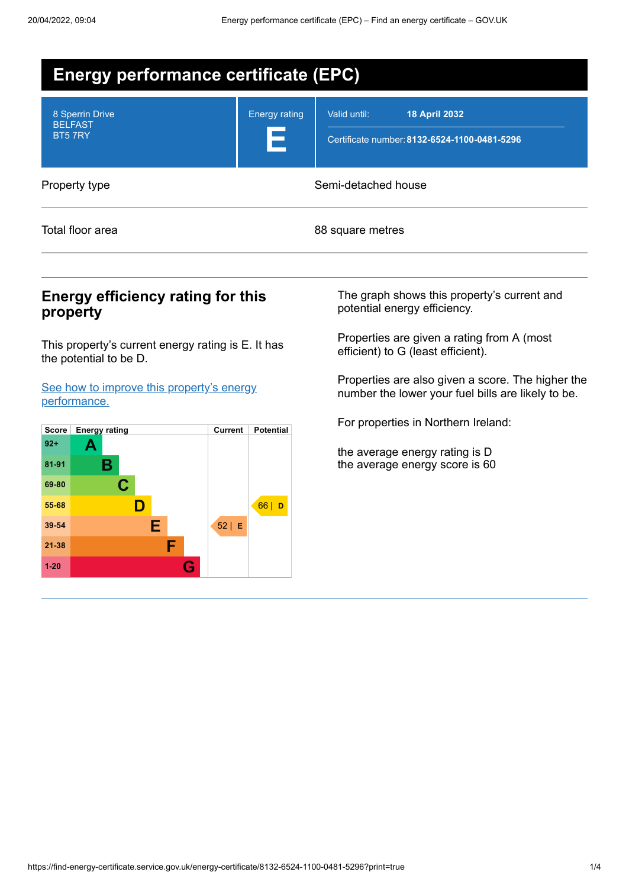| <b>Energy performance certificate (EPC)</b> |                           |                                                                                      |  |  |  |
|---------------------------------------------|---------------------------|--------------------------------------------------------------------------------------|--|--|--|
| 8 Sperrin Drive<br><b>BELFAST</b><br>BT57RY | <b>Energy rating</b><br>Е | Valid until:<br><b>18 April 2032</b><br>Certificate number: 8132-6524-1100-0481-5296 |  |  |  |
| Property type                               |                           | Semi-detached house                                                                  |  |  |  |
| Total floor area                            |                           | 88 square metres                                                                     |  |  |  |
|                                             |                           |                                                                                      |  |  |  |

## **Energy efficiency rating for this property**

This property's current energy rating is E. It has the potential to be D.

See how to improve this property's energy [performance.](#page-2-0)



The graph shows this property's current and potential energy efficiency.

Properties are given a rating from A (most efficient) to G (least efficient).

Properties are also given a score. The higher the number the lower your fuel bills are likely to be.

For properties in Northern Ireland:

the average energy rating is D the average energy score is 60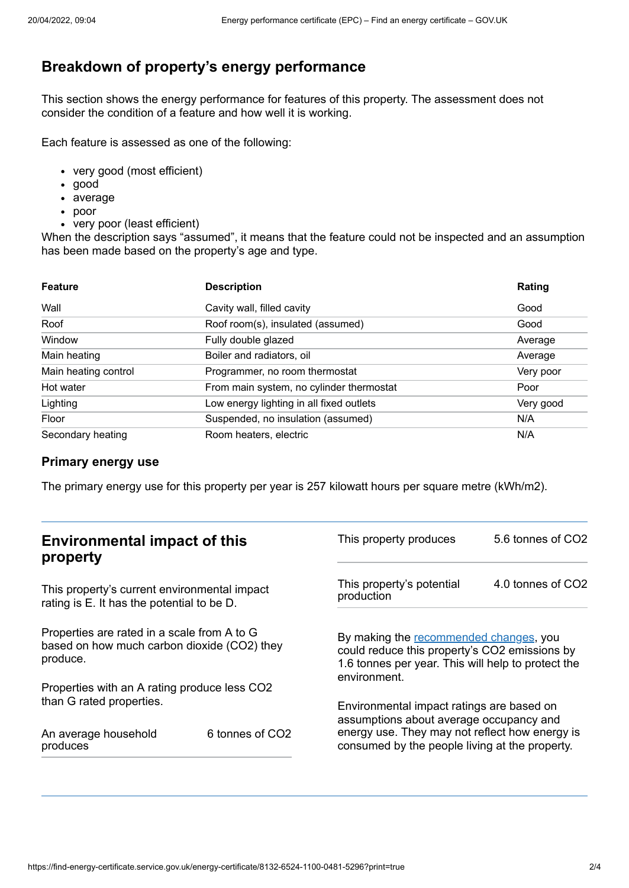# **Breakdown of property's energy performance**

This section shows the energy performance for features of this property. The assessment does not consider the condition of a feature and how well it is working.

Each feature is assessed as one of the following:

- very good (most efficient)
- good
- average
- poor
- very poor (least efficient)

When the description says "assumed", it means that the feature could not be inspected and an assumption has been made based on the property's age and type.

| <b>Feature</b>       | <b>Description</b>                       | Rating    |
|----------------------|------------------------------------------|-----------|
| Wall                 | Cavity wall, filled cavity               | Good      |
| Roof                 | Roof room(s), insulated (assumed)        | Good      |
| Window               | Fully double glazed                      | Average   |
| Main heating         | Boiler and radiators, oil                | Average   |
| Main heating control | Programmer, no room thermostat           | Very poor |
| Hot water            | From main system, no cylinder thermostat | Poor      |
| Lighting             | Low energy lighting in all fixed outlets | Very good |
| Floor                | Suspended, no insulation (assumed)       | N/A       |
| Secondary heating    | Room heaters, electric                   | N/A       |

#### **Primary energy use**

The primary energy use for this property per year is 257 kilowatt hours per square metre (kWh/m2).

| <b>Environmental impact of this</b><br>property                                                        |                             | This property produces                                                                                                                                        | 5.6 tonnes of CO2 |
|--------------------------------------------------------------------------------------------------------|-----------------------------|---------------------------------------------------------------------------------------------------------------------------------------------------------------|-------------------|
| This property's current environmental impact<br>rating is E. It has the potential to be D.             |                             | This property's potential<br>production                                                                                                                       | 4.0 tonnes of CO2 |
| Properties are rated in a scale from A to G<br>based on how much carbon dioxide (CO2) they<br>produce. |                             | By making the recommended changes, you<br>could reduce this property's CO2 emissions by<br>1.6 tonnes per year. This will help to protect the<br>environment. |                   |
| Properties with an A rating produce less CO2                                                           |                             |                                                                                                                                                               |                   |
| than G rated properties.                                                                               |                             | Environmental impact ratings are based on<br>assumptions about average occupancy and                                                                          |                   |
| An average household<br>produces                                                                       | 6 tonnes of CO <sub>2</sub> | energy use. They may not reflect how energy is<br>consumed by the people living at the property.                                                              |                   |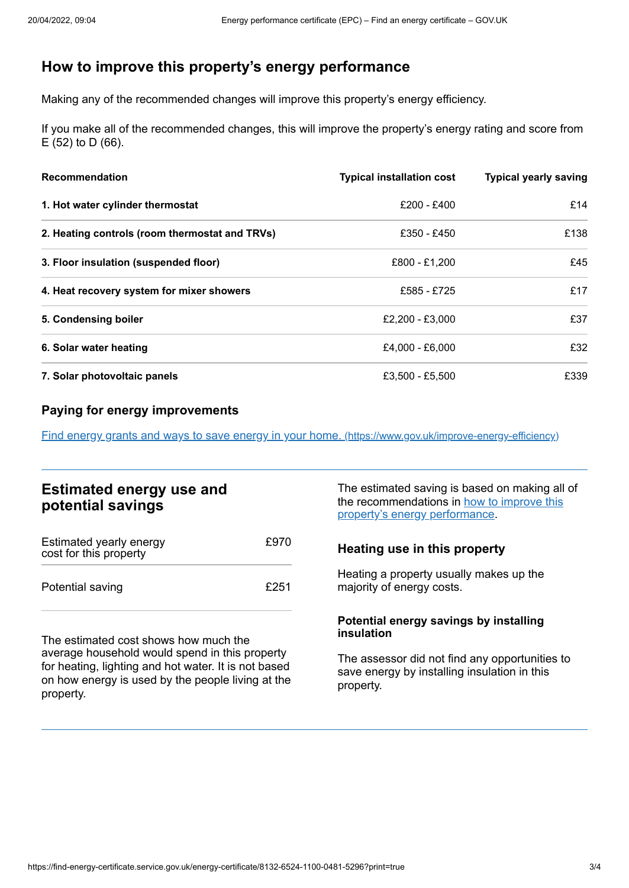# <span id="page-2-0"></span>**How to improve this property's energy performance**

Making any of the recommended changes will improve this property's energy efficiency.

If you make all of the recommended changes, this will improve the property's energy rating and score from E (52) to D (66).

| <b>Recommendation</b>                          | <b>Typical installation cost</b> | <b>Typical yearly saving</b> |
|------------------------------------------------|----------------------------------|------------------------------|
| 1. Hot water cylinder thermostat               | £200 - £400                      | £14                          |
| 2. Heating controls (room thermostat and TRVs) | £350 - £450                      | £138                         |
| 3. Floor insulation (suspended floor)          | £800 - £1,200                    | £45                          |
| 4. Heat recovery system for mixer showers      | £585 - £725                      | £17                          |
| 5. Condensing boiler                           | £2.200 - £3.000                  | £37                          |
| 6. Solar water heating                         | £4,000 - £6,000                  | £32                          |
| 7. Solar photovoltaic panels                   | £3,500 - £5,500                  | £339                         |

## **Paying for energy improvements**

Find energy grants and ways to save energy in your home. [\(https://www.gov.uk/improve-energy-efficiency\)](https://www.gov.uk/improve-energy-efficiency)

## **Estimated energy use and potential savings**

| Estimated yearly energy<br>cost for this property | £970 |
|---------------------------------------------------|------|
| Potential saving                                  | £251 |

The estimated cost shows how much the average household would spend in this property for heating, lighting and hot water. It is not based on how energy is used by the people living at the property.

The estimated saving is based on making all of the [recommendations](#page-2-0) in how to improve this property's energy performance.

#### **Heating use in this property**

Heating a property usually makes up the majority of energy costs.

#### **Potential energy savings by installing insulation**

The assessor did not find any opportunities to save energy by installing insulation in this property.